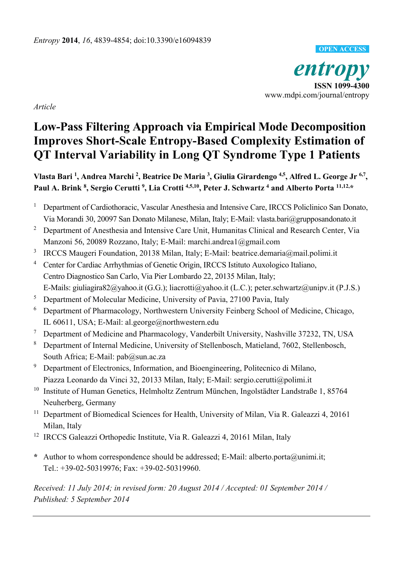*entropy*  **ISSN 1099-4300**  www.mdpi.com/journal/entropy **OPEN ACCESS**

*Article* 

# **Low-Pass Filtering Approach via Empirical Mode Decomposition Improves Short-Scale Entropy-Based Complexity Estimation of QT Interval Variability in Long QT Syndrome Type 1 Patients**

Vlasta Bari <sup>1</sup>, Andrea Marchi <sup>2</sup>, Beatrice De Maria <sup>3</sup>, Giulia Girardengo <sup>4,5</sup>, Alfred L. George Jr <sup>6,7</sup>, Paul A. Brink <sup>8</sup>, Sergio Cerutti<sup>9</sup>, Lia Crotti<sup>4,5,10</sup>, Peter J. Schwartz<sup>4</sup> and Alberto Porta<sup>11,12,\*</sup>

- 1 Department of Cardiothoracic, Vascular Anesthesia and Intensive Care, IRCCS Policlinico San Donato, Via Morandi 30, 20097 San Donato Milanese, Milan, Italy; E-Mail: vlasta.bari@grupposandonato.it
- <sup>2</sup> Department of Anesthesia and Intensive Care Unit, Humanitas Clinical and Research Center, Via Manzoni 56, 20089 Rozzano, Italy; E-Mail: marchi.andrea1@gmail.com
- 3 IRCCS Maugeri Foundation, 20138 Milan, Italy; E-Mail: beatrice.demaria@mail.polimi.it
- 4 Center for Cardiac Arrhythmias of Genetic Origin, IRCCS Istituto Auxologico Italiano, Centro Diagnostico San Carlo, Via Pier Lombardo 22, 20135 Milan, Italy; E-Mails: giuliagira82@yahoo.it (G.G.); liacrotti@yahoo.it (L.C.); peter.schwartz@unipv.it (P.J.S.)
- 5 Department of Molecular Medicine, University of Pavia, 27100 Pavia, Italy
- 6 Department of Pharmacology, Northwestern University Feinberg School of Medicine, Chicago, IL 60611, USA; E-Mail: al.george@northwestern.edu
- 7 Department of Medicine and Pharmacology, Vanderbilt University, Nashville 37232, TN, USA
- 8 Department of Internal Medicine, University of Stellenbosch, Matieland, 7602, Stellenbosch, South Africa; E-Mail: pab@sun.ac.za
- <sup>9</sup> Department of Electronics, Information, and Bioengineering, Politecnico di Milano, Piazza Leonardo da Vinci 32, 20133 Milan, Italy; E-Mail: sergio.cerutti@polimi.it
- <sup>10</sup> Institute of Human Genetics, Helmholtz Zentrum München, Ingolstädter Landstraße 1, 85764 Neuherberg, Germany
- <sup>11</sup> Department of Biomedical Sciences for Health, University of Milan, Via R. Galeazzi 4, 20161 Milan, Italy
- <sup>12</sup> IRCCS Galeazzi Orthopedic Institute, Via R. Galeazzi 4, 20161 Milan, Italy
- **\*** Author to whom correspondence should be addressed; E-Mail: alberto.porta@unimi.it; Tel.: +39-02-50319976; Fax: +39-02-50319960.

*Received: 11 July 2014; in revised form: 20 August 2014 / Accepted: 01 September 2014 / Published: 5 September 2014*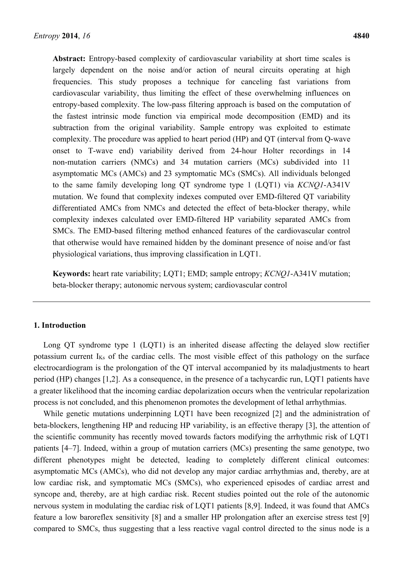**Abstract:** Entropy-based complexity of cardiovascular variability at short time scales is largely dependent on the noise and/or action of neural circuits operating at high frequencies. This study proposes a technique for canceling fast variations from cardiovascular variability, thus limiting the effect of these overwhelming influences on entropy-based complexity. The low-pass filtering approach is based on the computation of the fastest intrinsic mode function via empirical mode decomposition (EMD) and its subtraction from the original variability. Sample entropy was exploited to estimate complexity. The procedure was applied to heart period (HP) and QT (interval from Q-wave onset to T-wave end) variability derived from 24-hour Holter recordings in 14 non-mutation carriers (NMCs) and 34 mutation carriers (MCs) subdivided into 11 asymptomatic MCs (AMCs) and 23 symptomatic MCs (SMCs). All individuals belonged to the same family developing long QT syndrome type 1 (LQT1) via *KCNQ1*-A341V mutation. We found that complexity indexes computed over EMD-filtered QT variability differentiated AMCs from NMCs and detected the effect of beta-blocker therapy, while complexity indexes calculated over EMD-filtered HP variability separated AMCs from SMCs. The EMD-based filtering method enhanced features of the cardiovascular control that otherwise would have remained hidden by the dominant presence of noise and/or fast physiological variations, thus improving classification in LQT1.

**Keywords:** heart rate variability; LQT1; EMD; sample entropy; *KCNQ1*-A341V mutation; beta-blocker therapy; autonomic nervous system; cardiovascular control

#### **1. Introduction**

Long QT syndrome type 1 (LQT1) is an inherited disease affecting the delayed slow rectifier potassium current IKs of the cardiac cells. The most visible effect of this pathology on the surface electrocardiogram is the prolongation of the QT interval accompanied by its maladjustments to heart period (HP) changes [1,2]. As a consequence, in the presence of a tachycardic run, LQT1 patients have a greater likelihood that the incoming cardiac depolarization occurs when the ventricular repolarization process is not concluded, and this phenomenon promotes the development of lethal arrhythmias.

While genetic mutations underpinning LQT1 have been recognized [2] and the administration of beta-blockers, lengthening HP and reducing HP variability, is an effective therapy [3], the attention of the scientific community has recently moved towards factors modifying the arrhythmic risk of LQT1 patients [4–7]. Indeed, within a group of mutation carriers (MCs) presenting the same genotype, two different phenotypes might be detected, leading to completely different clinical outcomes: asymptomatic MCs (AMCs), who did not develop any major cardiac arrhythmias and, thereby, are at low cardiac risk, and symptomatic MCs (SMCs), who experienced episodes of cardiac arrest and syncope and, thereby, are at high cardiac risk. Recent studies pointed out the role of the autonomic nervous system in modulating the cardiac risk of LQT1 patients [8,9]. Indeed, it was found that AMCs feature a low baroreflex sensitivity [8] and a smaller HP prolongation after an exercise stress test [9] compared to SMCs, thus suggesting that a less reactive vagal control directed to the sinus node is a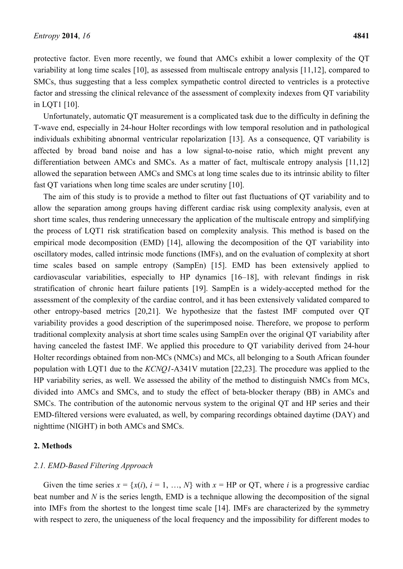protective factor. Even more recently, we found that AMCs exhibit a lower complexity of the QT variability at long time scales [10], as assessed from multiscale entropy analysis [11,12], compared to SMCs, thus suggesting that a less complex sympathetic control directed to ventricles is a protective factor and stressing the clinical relevance of the assessment of complexity indexes from QT variability in LQT1 [10].

Unfortunately, automatic QT measurement is a complicated task due to the difficulty in defining the T-wave end, especially in 24-hour Holter recordings with low temporal resolution and in pathological individuals exhibiting abnormal ventricular repolarization [13]. As a consequence, QT variability is affected by broad band noise and has a low signal-to-noise ratio, which might prevent any differentiation between AMCs and SMCs. As a matter of fact, multiscale entropy analysis [11,12] allowed the separation between AMCs and SMCs at long time scales due to its intrinsic ability to filter fast QT variations when long time scales are under scrutiny [10].

The aim of this study is to provide a method to filter out fast fluctuations of QT variability and to allow the separation among groups having different cardiac risk using complexity analysis, even at short time scales, thus rendering unnecessary the application of the multiscale entropy and simplifying the process of LQT1 risk stratification based on complexity analysis. This method is based on the empirical mode decomposition (EMD) [14], allowing the decomposition of the QT variability into oscillatory modes, called intrinsic mode functions (IMFs), and on the evaluation of complexity at short time scales based on sample entropy (SampEn) [15]. EMD has been extensively applied to cardiovascular variabilities, especially to HP dynamics [16–18], with relevant findings in risk stratification of chronic heart failure patients [19]. SampEn is a widely-accepted method for the assessment of the complexity of the cardiac control, and it has been extensively validated compared to other entropy-based metrics [20,21]. We hypothesize that the fastest IMF computed over QT variability provides a good description of the superimposed noise. Therefore, we propose to perform traditional complexity analysis at short time scales using SampEn over the original QT variability after having canceled the fastest IMF. We applied this procedure to QT variability derived from 24-hour Holter recordings obtained from non-MCs (NMCs) and MCs, all belonging to a South African founder population with LQT1 due to the *KCNQ1*-A341V mutation [22,23]. The procedure was applied to the HP variability series, as well. We assessed the ability of the method to distinguish NMCs from MCs, divided into AMCs and SMCs, and to study the effect of beta-blocker therapy (BB) in AMCs and SMCs. The contribution of the autonomic nervous system to the original QT and HP series and their EMD-filtered versions were evaluated, as well, by comparing recordings obtained daytime (DAY) and nighttime (NIGHT) in both AMCs and SMCs.

#### **2. Methods**

# *2.1. EMD-Based Filtering Approach*

Given the time series  $x = \{x(i), i = 1, ..., N\}$  with  $x = HP$  or QT, where *i* is a progressive cardiac beat number and *N* is the series length, EMD is a technique allowing the decomposition of the signal into IMFs from the shortest to the longest time scale [14]. IMFs are characterized by the symmetry with respect to zero, the uniqueness of the local frequency and the impossibility for different modes to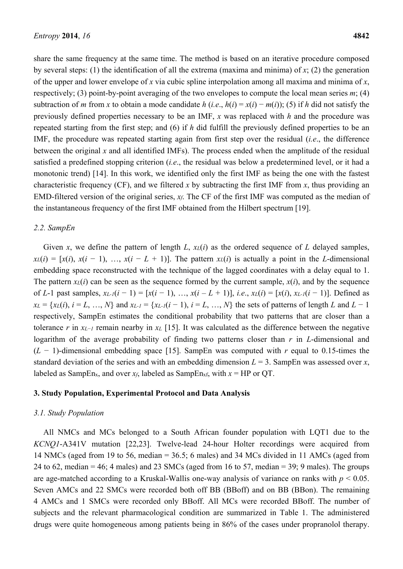share the same frequency at the same time. The method is based on an iterative procedure composed by several steps: (1) the identification of all the extrema (maxima and minima) of  $x$ ; (2) the generation of the upper and lower envelope of *x* via cubic spline interpolation among all maxima and minima of *x*, respectively; (3) point-by-point averaging of the two envelopes to compute the local mean series *m*; (4) subtraction of *m* from *x* to obtain a mode candidate *h* (*i.e.*,  $h(i) = x(i) - m(i)$ ); (5) if *h* did not satisfy the previously defined properties necessary to be an IMF, *x* was replaced with *h* and the procedure was repeated starting from the first step; and (6) if *h* did fulfill the previously defined properties to be an IMF, the procedure was repeated starting again from first step over the residual (*i.e*., the difference between the original *x* and all identified IMFs). The process ended when the amplitude of the residual satisfied a predefined stopping criterion (*i.e*., the residual was below a predetermined level, or it had a monotonic trend) [14]. In this work, we identified only the first IMF as being the one with the fastest characteristic frequency (CF), and we filtered *x* by subtracting the first IMF from *x*, thus providing an EMD-filtered version of the original series, *xf*. The CF of the first IMF was computed as the median of the instantaneous frequency of the first IMF obtained from the Hilbert spectrum [19].

#### *2.2. SampEn*

Given *x*, we define the pattern of length *L*,  $x<sub>L</sub>(i)$  as the ordered sequence of *L* delayed samples,  $x_L(i) = [x(i), x(i-1), ..., x(i-L+1)]$ . The pattern  $x_L(i)$  is actually a point in the *L*-dimensional embedding space reconstructed with the technique of the lagged coordinates with a delay equal to 1. The pattern  $x_L(i)$  can be seen as the sequence formed by the current sample,  $x(i)$ , and by the sequence of *L*-1 past samples,  $x_{L-1}(i-1) = [x(i-1), ..., x(i-L+1)], i.e., x_L(i) = [x(i), x_{L-1}(i-1)].$  Defined as *xL* = {*xL*(*i*),  $i = L$ , …, *N*} and *xL-1* = {*xL-1*( $i - 1$ ),  $i = L$ , …, *N*} the sets of patterns of length *L* and *L* − 1 respectively, SampEn estimates the conditional probability that two patterns that are closer than a tolerance *r* in *xL*−*1* remain nearby in *xL* [15]. It was calculated as the difference between the negative logarithm of the average probability of finding two patterns closer than *r* in *L*-dimensional and (*L* − 1)-dimensional embedding space [15]. SampEn was computed with *r* equal to 0.15-times the standard deviation of the series and with an embedding dimension  $L = 3$ . SampEn was assessed over *x*, labeled as SampEn<sub>x</sub>, and over  $x_f$ , labeled as SampEn<sub>xf</sub>, with  $x = HP$  or QT.

#### **3. Study Population, Experimental Protocol and Data Analysis**

## *3.1. Study Population*

All NMCs and MCs belonged to a South African founder population with LQT1 due to the *KCNQ1*-A341V mutation [22,23]. Twelve-lead 24-hour Holter recordings were acquired from 14 NMCs (aged from 19 to 56, median = 36.5; 6 males) and 34 MCs divided in 11 AMCs (aged from 24 to 62, median = 46; 4 males) and 23 SMCs (aged from 16 to 57, median =  $39$ ; 9 males). The groups are age-matched according to a Kruskal-Wallis one-way analysis of variance on ranks with  $p < 0.05$ . Seven AMCs and 22 SMCs were recorded both off BB (BBoff) and on BB (BBon). The remaining 4 AMCs and 1 SMCs were recorded only BBoff. All MCs were recorded BBoff. The number of subjects and the relevant pharmacological condition are summarized in Table 1. The administered drugs were quite homogeneous among patients being in 86% of the cases under propranolol therapy.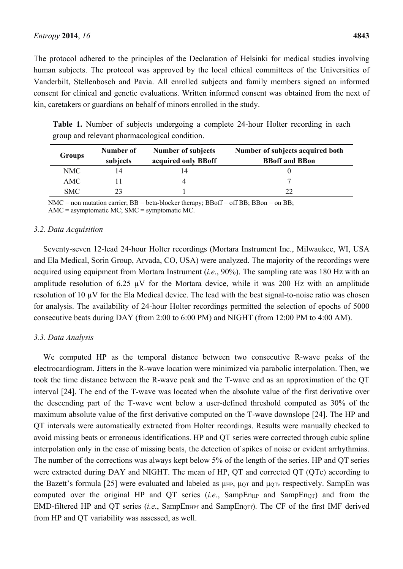The protocol adhered to the principles of the Declaration of Helsinki for medical studies involving human subjects. The protocol was approved by the local ethical committees of the Universities of Vanderbilt, Stellenbosch and Pavia. All enrolled subjects and family members signed an informed consent for clinical and genetic evaluations. Written informed consent was obtained from the next of kin, caretakers or guardians on behalf of minors enrolled in the study.

**Table 1.** Number of subjects undergoing a complete 24-hour Holter recording in each group and relevant pharmacological condition.

| <b>Groups</b> | Number of<br>subjects | Number of subjects<br>acquired only BBoff | Number of subjects acquired both<br><b>BBoff</b> and <b>BBon</b> |
|---------------|-----------------------|-------------------------------------------|------------------------------------------------------------------|
| NMC           | 14                    |                                           |                                                                  |
| AMC           |                       |                                           |                                                                  |
| <b>SMC</b>    | 23                    |                                           | 22                                                               |

NMC = non mutation carrier;  $BB = beta-blocker$  therapy;  $BBoff = off BB$ ;  $BBon = on BB$ ; AMC = asymptomatic MC; SMC = symptomatic MC.

## *3.2. Data Acquisition*

Seventy-seven 12-lead 24-hour Holter recordings (Mortara Instrument Inc., Milwaukee, WI, USA and Ela Medical, Sorin Group, Arvada, CO, USA) were analyzed. The majority of the recordings were acquired using equipment from Mortara Instrument (*i.e*., 90%). The sampling rate was 180 Hz with an amplitude resolution of 6.25  $\mu$ V for the Mortara device, while it was 200 Hz with an amplitude resolution of 10 µV for the Ela Medical device. The lead with the best signal-to-noise ratio was chosen for analysis. The availability of 24-hour Holter recordings permitted the selection of epochs of 5000 consecutive beats during DAY (from 2:00 to 6:00 PM) and NIGHT (from 12:00 PM to 4:00 AM).

## *3.3. Data Analysis*

We computed HP as the temporal distance between two consecutive R-wave peaks of the electrocardiogram. Jitters in the R-wave location were minimized via parabolic interpolation. Then, we took the time distance between the R-wave peak and the T-wave end as an approximation of the QT interval [24]. The end of the T-wave was located when the absolute value of the first derivative over the descending part of the T-wave went below a user-defined threshold computed as 30% of the maximum absolute value of the first derivative computed on the T-wave downslope [24]. The HP and QT intervals were automatically extracted from Holter recordings. Results were manually checked to avoid missing beats or erroneous identifications. HP and QT series were corrected through cubic spline interpolation only in the case of missing beats, the detection of spikes of noise or evident arrhythmias. The number of the corrections was always kept below 5% of the length of the series. HP and QT series were extracted during DAY and NIGHT. The mean of HP, QT and corrected QT (QTc) according to the Bazett's formula [25] were evaluated and labeled as  $μ$ <sub>HP</sub>,  $μ$ <sub>QT</sub> and  $μ$ <sub>QTc</sub> respectively. SampEn was computed over the original HP and QT series  $(i.e., \text{SampEn}_{HP} \text{ and } \text{SampEn}_{QT})$  and from the EMD-filtered HP and QT series (*i.e.*, SampEn<sub>HPf</sub> and SampEn<sub>OTf</sub>). The CF of the first IMF derived from HP and QT variability was assessed, as well.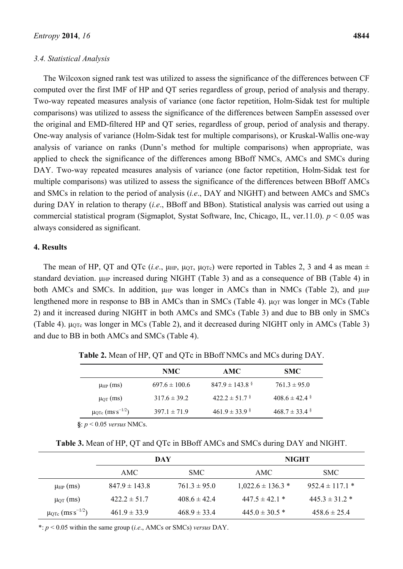#### *3.4. Statistical Analysis*

The Wilcoxon signed rank test was utilized to assess the significance of the differences between CF computed over the first IMF of HP and QT series regardless of group, period of analysis and therapy. Two-way repeated measures analysis of variance (one factor repetition, Holm-Sidak test for multiple comparisons) was utilized to assess the significance of the differences between SampEn assessed over the original and EMD-filtered HP and QT series, regardless of group, period of analysis and therapy. One-way analysis of variance (Holm-Sidak test for multiple comparisons), or Kruskal-Wallis one-way analysis of variance on ranks (Dunn's method for multiple comparisons) when appropriate, was applied to check the significance of the differences among BBoff NMCs, AMCs and SMCs during DAY. Two-way repeated measures analysis of variance (one factor repetition, Holm-Sidak test for multiple comparisons) was utilized to assess the significance of the differences between BBoff AMCs and SMCs in relation to the period of analysis (*i.e*., DAY and NIGHT) and between AMCs and SMCs during DAY in relation to therapy (*i.e*., BBoff and BBon). Statistical analysis was carried out using a commercial statistical program (Sigmaplot, Systat Software, Inc, Chicago, IL, ver.11.0). *p* < 0.05 was always considered as significant.

#### **4. Results**

The mean of HP, QT and QTc (*i.e.*,  $\mu$ <sub>HP</sub>,  $\mu$ <sub>QT</sub>,  $\mu$ <sub>QTc</sub>) were reported in Tables 2, 3 and 4 as mean  $\pm$ standard deviation. μHP increased during NIGHT (Table 3) and as a consequence of BB (Table 4) in both AMCs and SMCs. In addition,  $\mu$ <sub>HP</sub> was longer in AMCs than in NMCs (Table 2), and  $\mu$ <sub>HP</sub> lengthened more in response to BB in AMCs than in SMCs (Table 4).  $\mu$ or was longer in MCs (Table 2) and it increased during NIGHT in both AMCs and SMCs (Table 3) and due to BB only in SMCs (Table 4).  $\mu$ OTc was longer in MCs (Table 2), and it decreased during NIGHT only in AMCs (Table 3) and due to BB in both AMCs and SMCs (Table 4).

|                                   | NMC.              | AMC.                | <b>SMC</b>       |
|-----------------------------------|-------------------|---------------------|------------------|
| $\mu_{HP}$ (ms)                   | $697.6 \pm 100.6$ | $847.9 \pm 143.8$ § | $761.3 \pm 95.0$ |
| $\mu_{\text{QT}}$ (ms)            | $317.6 \pm 39.2$  | $422.2 \pm 51.7$    | $408.6 \pm 42.4$ |
| $μ_{QTe}$ (ms s <sup>-1/2</sup> ) | $397.1 \pm 71.9$  | $461.9 \pm 33.9$    | $468.7 \pm 33.4$ |

**Table 2.** Mean of HP, QT and QTc in BBoff NMCs and MCs during DAY.

**§**: *p* < 0.05 *versus* NMCs.

| Table 3. Mean of HP, QT and QTc in BBoff AMCs and SMCs during DAY and NIGHT. |  |  |  |  |  |
|------------------------------------------------------------------------------|--|--|--|--|--|
|------------------------------------------------------------------------------|--|--|--|--|--|

|                                         | DAY               |                  | <b>NIGHT</b>          |                     |
|-----------------------------------------|-------------------|------------------|-----------------------|---------------------|
|                                         | AMC               | SMC.             | AMC                   | SMC.                |
| $\mu_{HP}$ (ms)                         | $847.9 \pm 143.8$ | $761.3 \pm 95.0$ | $1,022.6 \pm 136.3$ * | $952.4 \pm 117.1$ * |
| $\mu_{\text{QT}}$ (ms)                  | $422.2 \pm 51.7$  | $4086 \pm 424$   | $447.5 \pm 42.1$ *    | $445.3 \pm 31.2$ *  |
| $\mu_{\rm QTc}$ (ms s <sup>-1/2</sup> ) | $461.9 \pm 33.9$  | $468.9 \pm 33.4$ | $445.0 \pm 30.5$ *    | $458.6 \pm 25.4$    |

\*: *p* < 0.05 within the same group (*i.e*., AMCs or SMCs) *versus* DAY.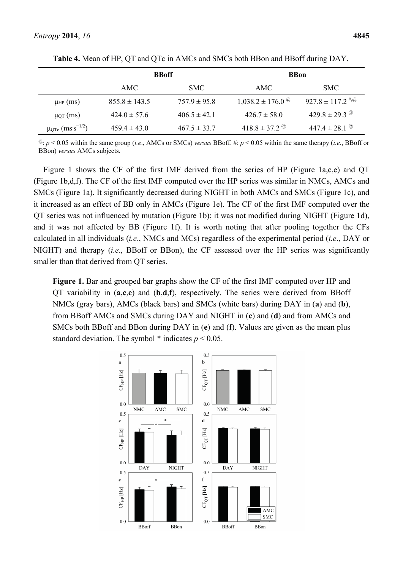|                                          | <b>BBoff</b>      |                  | <b>BBon</b>                      |                                  |
|------------------------------------------|-------------------|------------------|----------------------------------|----------------------------------|
|                                          | AMC.              | SMC.             | AMC.                             | SMC.                             |
| $\mu_{HP}(ms)$                           | $855.8 \pm 143.5$ | $757.9 \pm 95.8$ | $1,038.2 \pm 176.0$ <sup>@</sup> | $927.8 \pm 117.2$ <sup>#,@</sup> |
| $\mu$ <sub>QT</sub> (ms)                 | $424.0 \pm 57.6$  | $406.5 \pm 42.1$ | $426.7 \pm 58.0$                 | $429.8 \pm 29.3$ @               |
| $μ$ <sub>QTc</sub> (ms <sup>-1/2</sup> ) | $459.4 \pm 43.0$  | $467.5 \pm 33.7$ | 418.8 ± 37.2 $^{\omega}$         | 447.4 $\pm$ 28.1 $^{(a)}$        |

**Table 4.** Mean of HP, QT and QTc in AMCs and SMCs both BBon and BBoff during DAY.

@: *p* < 0.05 within the same group (*i.e*., AMCs or SMCs) *versus* BBoff. #: *p* < 0.05 within the same therapy (*i.e*., BBoff or BBon) *versus* AMCs subjects.

Figure 1 shows the CF of the first IMF derived from the series of HP (Figure 1a,c,e) and QT (Figure 1b,d,f). The CF of the first IMF computed over the HP series was similar in NMCs, AMCs and SMCs (Figure 1a). It significantly decreased during NIGHT in both AMCs and SMCs (Figure 1c), and it increased as an effect of BB only in AMCs (Figure 1e). The CF of the first IMF computed over the QT series was not influenced by mutation (Figure 1b); it was not modified during NIGHT (Figure 1d), and it was not affected by BB (Figure 1f). It is worth noting that after pooling together the CFs calculated in all individuals (*i.e*., NMCs and MCs) regardless of the experimental period (*i.e*., DAY or NIGHT) and therapy (*i.e*., BBoff or BBon), the CF assessed over the HP series was significantly smaller than that derived from QT series.

**Figure 1.** Bar and grouped bar graphs show the CF of the first IMF computed over HP and QT variability in (**a**,**c**,**e**) and (**b**,**d**,**f**), respectively. The series were derived from BBoff NMCs (gray bars), AMCs (black bars) and SMCs (white bars) during DAY in (**a**) and (**b**), from BBoff AMCs and SMCs during DAY and NIGHT in (**c**) and (**d**) and from AMCs and SMCs both BBoff and BBon during DAY in (**e**) and (**f**). Values are given as the mean plus standard deviation. The symbol  $*$  indicates  $p < 0.05$ .

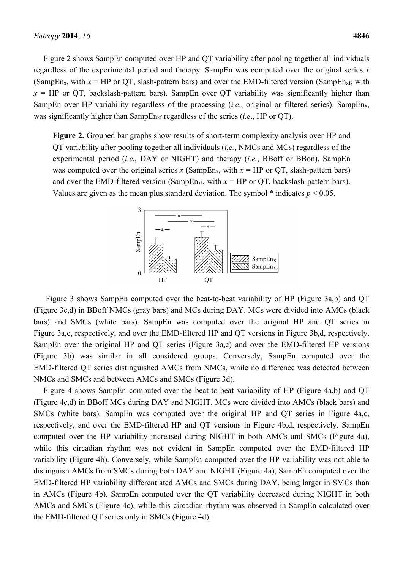Figure 2 shows SampEn computed over HP and QT variability after pooling together all individuals regardless of the experimental period and therapy. SampEn was computed over the original series *x* (SampEn<sub>x</sub>, with  $x = HP$  or QT, slash-pattern bars) and over the EMD-filtered version (SampEn<sub>xf,</sub> with  $x = HP$  or OT, backslash-pattern bars). SampEn over OT variability was significantly higher than SampEn over HP variability regardless of the processing  $(i.e.,$  original or filtered series). SampEn<sub>x</sub>, was significantly higher than SampEnxf regardless of the series (*i.e*., HP or QT).

**Figure 2.** Grouped bar graphs show results of short-term complexity analysis over HP and QT variability after pooling together all individuals (*i.e.*, NMCs and MCs) regardless of the experimental period (*i.e.*, DAY or NIGHT) and therapy (*i.e.*, BBoff or BBon). SampEn was computed over the original series  $x$  (SampEn<sub>x</sub>, with  $x = HP$  or QT, slash-pattern bars) and over the EMD-filtered version (SampEn<sub>xf,</sub> with  $x = HP$  or QT, backslash-pattern bars). Values are given as the mean plus standard deviation. The symbol  $*$  indicates  $p < 0.05$ .



Figure 3 shows SampEn computed over the beat-to-beat variability of HP (Figure 3a,b) and QT (Figure 3c,d) in BBoff NMCs (gray bars) and MCs during DAY. MCs were divided into AMCs (black bars) and SMCs (white bars). SampEn was computed over the original HP and QT series in Figure 3a,c, respectively, and over the EMD-filtered HP and QT versions in Figure 3b,d, respectively. SampEn over the original HP and QT series (Figure 3a,c) and over the EMD-filtered HP versions (Figure 3b) was similar in all considered groups. Conversely, SampEn computed over the EMD-filtered QT series distinguished AMCs from NMCs, while no difference was detected between NMCs and SMCs and between AMCs and SMCs (Figure 3d).

Figure 4 shows SampEn computed over the beat-to-beat variability of HP (Figure 4a,b) and QT (Figure 4c,d) in BBoff MCs during DAY and NIGHT. MCs were divided into AMCs (black bars) and SMCs (white bars). SampEn was computed over the original HP and QT series in Figure 4a,c, respectively, and over the EMD-filtered HP and QT versions in Figure 4b,d, respectively. SampEn computed over the HP variability increased during NIGHT in both AMCs and SMCs (Figure 4a), while this circadian rhythm was not evident in SampEn computed over the EMD-filtered HP variability (Figure 4b). Conversely, while SampEn computed over the HP variability was not able to distinguish AMCs from SMCs during both DAY and NIGHT (Figure 4a), SampEn computed over the EMD-filtered HP variability differentiated AMCs and SMCs during DAY, being larger in SMCs than in AMCs (Figure 4b). SampEn computed over the QT variability decreased during NIGHT in both AMCs and SMCs (Figure 4c), while this circadian rhythm was observed in SampEn calculated over the EMD-filtered QT series only in SMCs (Figure 4d).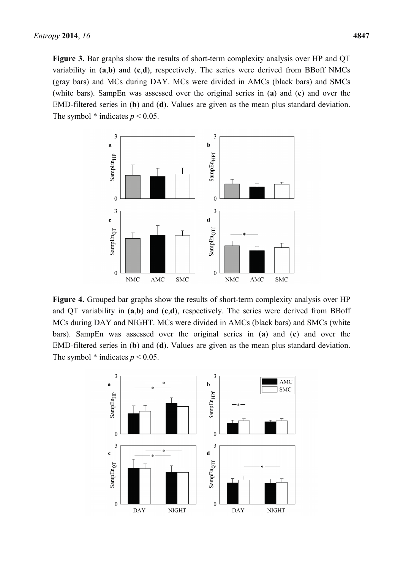**Figure 3.** Bar graphs show the results of short-term complexity analysis over HP and QT variability in (**a**,**b**) and (**c**,**d**), respectively. The series were derived from BBoff NMCs (gray bars) and MCs during DAY. MCs were divided in AMCs (black bars) and SMCs (white bars). SampEn was assessed over the original series in (**a**) and (**c**) and over the EMD-filtered series in (**b**) and (**d**). Values are given as the mean plus standard deviation. The symbol  $*$  indicates  $p < 0.05$ .



**Figure 4.** Grouped bar graphs show the results of short-term complexity analysis over HP and QT variability in (**a**,**b**) and (**c**,**d**), respectively. The series were derived from BBoff MCs during DAY and NIGHT. MCs were divided in AMCs (black bars) and SMCs (white bars). SampEn was assessed over the original series in (**a**) and (**c**) and over the EMD-filtered series in (**b**) and (**d**). Values are given as the mean plus standard deviation. The symbol  $*$  indicates  $p < 0.05$ .

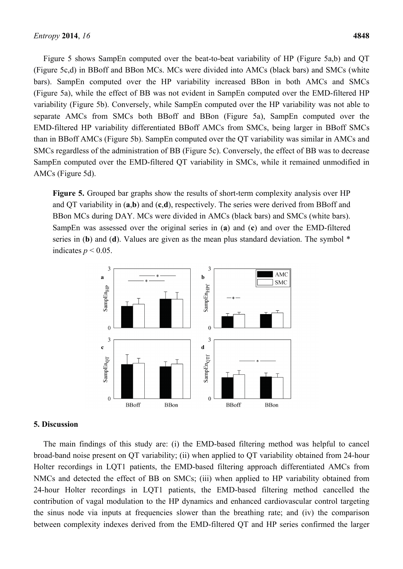Figure 5 shows SampEn computed over the beat-to-beat variability of HP (Figure 5a,b) and QT (Figure 5c,d) in BBoff and BBon MCs. MCs were divided into AMCs (black bars) and SMCs (white bars). SampEn computed over the HP variability increased BBon in both AMCs and SMCs (Figure 5a), while the effect of BB was not evident in SampEn computed over the EMD-filtered HP variability (Figure 5b). Conversely, while SampEn computed over the HP variability was not able to separate AMCs from SMCs both BBoff and BBon (Figure 5a), SampEn computed over the EMD-filtered HP variability differentiated BBoff AMCs from SMCs, being larger in BBoff SMCs than in BBoff AMCs (Figure 5b). SampEn computed over the QT variability was similar in AMCs and SMCs regardless of the administration of BB (Figure 5c). Conversely, the effect of BB was to decrease SampEn computed over the EMD-filtered QT variability in SMCs, while it remained unmodified in AMCs (Figure 5d).

**Figure 5.** Grouped bar graphs show the results of short-term complexity analysis over HP and QT variability in (**a**,**b**) and (**c**,**d**), respectively. The series were derived from BBoff and BBon MCs during DAY. MCs were divided in AMCs (black bars) and SMCs (white bars). SampEn was assessed over the original series in (**a**) and (**c**) and over the EMD-filtered series in (**b**) and (**d**). Values are given as the mean plus standard deviation. The symbol \* indicates  $p < 0.05$ .



#### **5. Discussion**

The main findings of this study are: (i) the EMD-based filtering method was helpful to cancel broad-band noise present on QT variability; (ii) when applied to QT variability obtained from 24-hour Holter recordings in LQT1 patients, the EMD-based filtering approach differentiated AMCs from NMCs and detected the effect of BB on SMCs; (iii) when applied to HP variability obtained from 24-hour Holter recordings in LQT1 patients, the EMD-based filtering method cancelled the contribution of vagal modulation to the HP dynamics and enhanced cardiovascular control targeting the sinus node via inputs at frequencies slower than the breathing rate; and (iv) the comparison between complexity indexes derived from the EMD-filtered QT and HP series confirmed the larger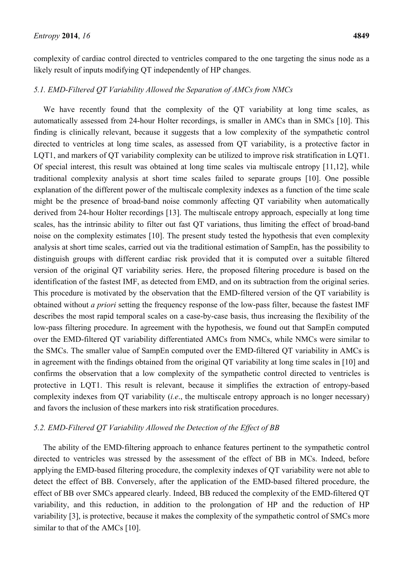complexity of cardiac control directed to ventricles compared to the one targeting the sinus node as a likely result of inputs modifying QT independently of HP changes.

# *5.1. EMD-Filtered QT Variability Allowed the Separation of AMCs from NMCs*

We have recently found that the complexity of the OT variability at long time scales, as automatically assessed from 24-hour Holter recordings, is smaller in AMCs than in SMCs [10]. This finding is clinically relevant, because it suggests that a low complexity of the sympathetic control directed to ventricles at long time scales, as assessed from QT variability, is a protective factor in LQT1, and markers of QT variability complexity can be utilized to improve risk stratification in LQT1. Of special interest, this result was obtained at long time scales via multiscale entropy [11,12], while traditional complexity analysis at short time scales failed to separate groups [10]. One possible explanation of the different power of the multiscale complexity indexes as a function of the time scale might be the presence of broad-band noise commonly affecting QT variability when automatically derived from 24-hour Holter recordings [13]. The multiscale entropy approach, especially at long time scales, has the intrinsic ability to filter out fast QT variations, thus limiting the effect of broad-band noise on the complexity estimates [10]. The present study tested the hypothesis that even complexity analysis at short time scales, carried out via the traditional estimation of SampEn, has the possibility to distinguish groups with different cardiac risk provided that it is computed over a suitable filtered version of the original QT variability series. Here, the proposed filtering procedure is based on the identification of the fastest IMF, as detected from EMD, and on its subtraction from the original series. This procedure is motivated by the observation that the EMD-filtered version of the QT variability is obtained without *a priori* setting the frequency response of the low-pass filter, because the fastest IMF describes the most rapid temporal scales on a case-by-case basis, thus increasing the flexibility of the low-pass filtering procedure. In agreement with the hypothesis, we found out that SampEn computed over the EMD-filtered QT variability differentiated AMCs from NMCs, while NMCs were similar to the SMCs. The smaller value of SampEn computed over the EMD-filtered QT variability in AMCs is in agreement with the findings obtained from the original QT variability at long time scales in [10] and confirms the observation that a low complexity of the sympathetic control directed to ventricles is protective in LQT1. This result is relevant, because it simplifies the extraction of entropy-based complexity indexes from QT variability (*i.e*., the multiscale entropy approach is no longer necessary) and favors the inclusion of these markers into risk stratification procedures.

# *5.2. EMD-Filtered QT Variability Allowed the Detection of the Effect of BB*

The ability of the EMD-filtering approach to enhance features pertinent to the sympathetic control directed to ventricles was stressed by the assessment of the effect of BB in MCs. Indeed, before applying the EMD-based filtering procedure, the complexity indexes of QT variability were not able to detect the effect of BB. Conversely, after the application of the EMD-based filtered procedure, the effect of BB over SMCs appeared clearly. Indeed, BB reduced the complexity of the EMD-filtered QT variability, and this reduction, in addition to the prolongation of HP and the reduction of HP variability [3], is protective, because it makes the complexity of the sympathetic control of SMCs more similar to that of the AMCs [10].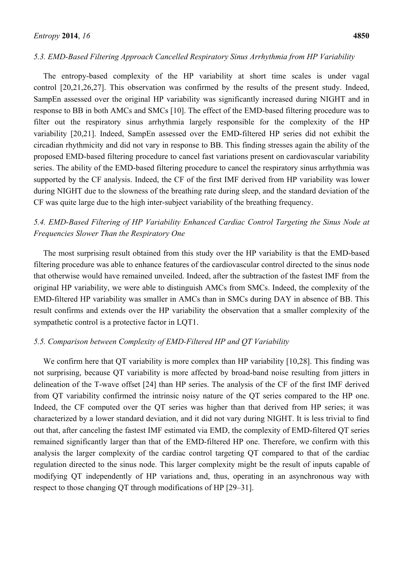# *5.3. EMD-Based Filtering Approach Cancelled Respiratory Sinus Arrhythmia from HP Variability*

The entropy-based complexity of the HP variability at short time scales is under vagal control [20,21,26,27]. This observation was confirmed by the results of the present study. Indeed, SampEn assessed over the original HP variability was significantly increased during NIGHT and in response to BB in both AMCs and SMCs [10]. The effect of the EMD-based filtering procedure was to filter out the respiratory sinus arrhythmia largely responsible for the complexity of the HP variability [20,21]. Indeed, SampEn assessed over the EMD-filtered HP series did not exhibit the circadian rhythmicity and did not vary in response to BB. This finding stresses again the ability of the proposed EMD-based filtering procedure to cancel fast variations present on cardiovascular variability series. The ability of the EMD-based filtering procedure to cancel the respiratory sinus arrhythmia was supported by the CF analysis. Indeed, the CF of the first IMF derived from HP variability was lower during NIGHT due to the slowness of the breathing rate during sleep, and the standard deviation of the CF was quite large due to the high inter-subject variability of the breathing frequency.

# *5.4. EMD-Based Filtering of HP Variability Enhanced Cardiac Control Targeting the Sinus Node at Frequencies Slower Than the Respiratory One*

The most surprising result obtained from this study over the HP variability is that the EMD-based filtering procedure was able to enhance features of the cardiovascular control directed to the sinus node that otherwise would have remained unveiled. Indeed, after the subtraction of the fastest IMF from the original HP variability, we were able to distinguish AMCs from SMCs. Indeed, the complexity of the EMD-filtered HP variability was smaller in AMCs than in SMCs during DAY in absence of BB. This result confirms and extends over the HP variability the observation that a smaller complexity of the sympathetic control is a protective factor in LOT1.

## *5.5. Comparison between Complexity of EMD-Filtered HP and QT Variability*

We confirm here that QT variability is more complex than HP variability [10,28]. This finding was not surprising, because QT variability is more affected by broad-band noise resulting from jitters in delineation of the T-wave offset [24] than HP series. The analysis of the CF of the first IMF derived from QT variability confirmed the intrinsic noisy nature of the QT series compared to the HP one. Indeed, the CF computed over the QT series was higher than that derived from HP series; it was characterized by a lower standard deviation, and it did not vary during NIGHT. It is less trivial to find out that, after canceling the fastest IMF estimated via EMD, the complexity of EMD-filtered QT series remained significantly larger than that of the EMD-filtered HP one. Therefore, we confirm with this analysis the larger complexity of the cardiac control targeting QT compared to that of the cardiac regulation directed to the sinus node. This larger complexity might be the result of inputs capable of modifying QT independently of HP variations and, thus, operating in an asynchronous way with respect to those changing QT through modifications of HP [29–31].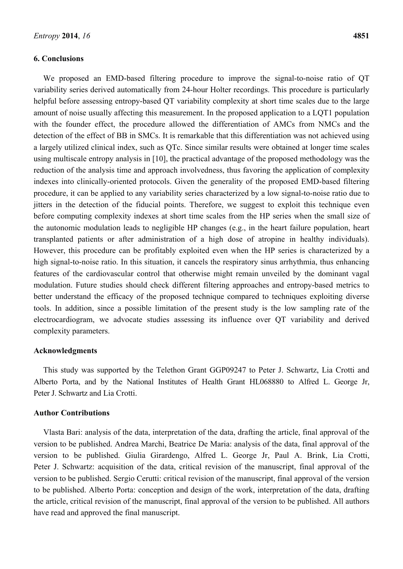#### **6. Conclusions**

We proposed an EMD-based filtering procedure to improve the signal-to-noise ratio of QT variability series derived automatically from 24-hour Holter recordings. This procedure is particularly helpful before assessing entropy-based OT variability complexity at short time scales due to the large amount of noise usually affecting this measurement. In the proposed application to a LQT1 population with the founder effect, the procedure allowed the differentiation of AMCs from NMCs and the detection of the effect of BB in SMCs. It is remarkable that this differentiation was not achieved using a largely utilized clinical index, such as QTc. Since similar results were obtained at longer time scales using multiscale entropy analysis in [10], the practical advantage of the proposed methodology was the reduction of the analysis time and approach involvedness, thus favoring the application of complexity indexes into clinically-oriented protocols. Given the generality of the proposed EMD-based filtering procedure, it can be applied to any variability series characterized by a low signal-to-noise ratio due to jitters in the detection of the fiducial points. Therefore, we suggest to exploit this technique even before computing complexity indexes at short time scales from the HP series when the small size of the autonomic modulation leads to negligible HP changes (e.g., in the heart failure population, heart transplanted patients or after administration of a high dose of atropine in healthy individuals). However, this procedure can be profitably exploited even when the HP series is characterized by a high signal-to-noise ratio. In this situation, it cancels the respiratory sinus arrhythmia, thus enhancing features of the cardiovascular control that otherwise might remain unveiled by the dominant vagal modulation. Future studies should check different filtering approaches and entropy-based metrics to better understand the efficacy of the proposed technique compared to techniques exploiting diverse tools. In addition, since a possible limitation of the present study is the low sampling rate of the electrocardiogram, we advocate studies assessing its influence over QT variability and derived complexity parameters.

# **Acknowledgments**

This study was supported by the Telethon Grant GGP09247 to Peter J. Schwartz, Lia Crotti and Alberto Porta, and by the National Institutes of Health Grant HL068880 to Alfred L. George Jr, Peter J. Schwartz and Lia Crotti.

## **Author Contributions**

Vlasta Bari: analysis of the data, interpretation of the data, drafting the article, final approval of the version to be published. Andrea Marchi, Beatrice De Maria: analysis of the data, final approval of the version to be published. Giulia Girardengo, Alfred L. George Jr, Paul A. Brink, Lia Crotti, Peter J. Schwartz: acquisition of the data, critical revision of the manuscript, final approval of the version to be published. Sergio Cerutti: critical revision of the manuscript, final approval of the version to be published. Alberto Porta: conception and design of the work, interpretation of the data, drafting the article, critical revision of the manuscript, final approval of the version to be published. All authors have read and approved the final manuscript.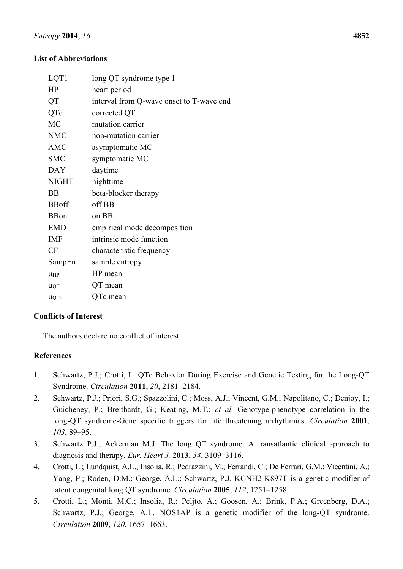# **List of Abbreviations**

| LQT1         | long QT syndrome type 1                  |
|--------------|------------------------------------------|
| HP           | heart period                             |
| QT           | interval from Q-wave onset to T-wave end |
| QTc          | corrected QT                             |
| <b>MC</b>    | mutation carrier                         |
| <b>NMC</b>   | non-mutation carrier                     |
| <b>AMC</b>   | asymptomatic MC                          |
| <b>SMC</b>   | symptomatic MC                           |
| <b>DAY</b>   | daytime                                  |
| <b>NIGHT</b> | nighttime                                |
| <b>BB</b>    | beta-blocker therapy                     |
| <b>BBoff</b> | off BB                                   |
| <b>BB</b> on | on BB                                    |
| <b>EMD</b>   | empirical mode decomposition             |
| <b>IMF</b>   | intrinsic mode function                  |
| <b>CF</b>    | characteristic frequency                 |
| SampEn       | sample entropy                           |
| <b>µHP</b>   | HP mean                                  |
| <b>LIQT</b>  | QT mean                                  |
| <b>µQTc</b>  | QTc mean                                 |

# **Conflicts of Interest**

The authors declare no conflict of interest.

# **References**

- 1. Schwartz, P.J.; Crotti, L. QTc Behavior During Exercise and Genetic Testing for the Long-QT Syndrome. *Circulation* **2011**, *20*, 2181–2184.
- 2. Schwartz, P.J.; Priori, S.G.; Spazzolini, C.; Moss, A.J.; Vincent, G.M.; Napolitano, C.; Denjoy, I.; Guicheney, P.; Breithardt, G.; Keating, M.T.; *et al.* Genotype-phenotype correlation in the long-QT syndrome-Gene specific triggers for life threatening arrhythmias. *Circulation* **2001**, *103*, 89–95.
- 3. Schwartz P.J.; Ackerman M.J. The long QT syndrome. A transatlantic clinical approach to diagnosis and therapy. *Eur. Heart J.* **2013**, *34*, 3109–3116.
- 4. Crotti, L.; Lundquist, A.L.; Insolia, R.; Pedrazzini, M.; Ferrandi, C.; De Ferrari, G.M.; Vicentini, A.; Yang, P.; Roden, D.M.; George, A.L.; Schwartz, P.J. KCNH2-K897T is a genetic modifier of latent congenital long QT syndrome. *Circulation* **2005**, *112*, 1251–1258.
- 5. Crotti, L.; Monti, M.C.; Insolia, R.; Peljto, A.; Goosen, A.; Brink, P.A.; Greenberg, D.A.; Schwartz, P.J.; George, A.L. NOS1AP is a genetic modifier of the long-QT syndrome. *Circulation* **2009**, *120*, 1657–1663.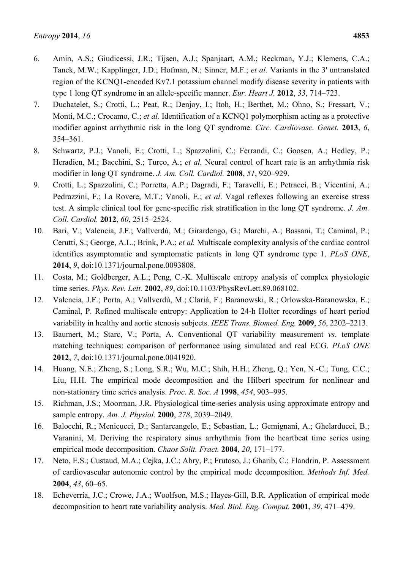- 6. Amin, A.S.; Giudicessi, J.R.; Tijsen, A.J.; Spanjaart, A.M.; Reckman, Y.J.; Klemens, C.A.; Tanck, M.W.; Kapplinger, J.D.; Hofman, N.; Sinner, M.F.; *et al.* Variants in the 3' untranslated region of the KCNQ1-encoded Kv7.1 potassium channel modify disease severity in patients with type 1 long QT syndrome in an allele-specific manner. *Eur. Heart J.* **2012**, *33*, 714–723.
- 7. Duchatelet, S.; Crotti, L.; Peat, R.; Denjoy, I.; Itoh, H.; Berthet, M.; Ohno, S.; Fressart, V.; Monti, M.C.; Crocamo, C.; *et al.* Identification of a KCNQ1 polymorphism acting as a protective modifier against arrhythmic risk in the long QT syndrome. *Circ. Cardiovasc. Genet.* **2013**, *6*, 354–361.
- 8. Schwartz, P.J.; Vanoli, E.; Crotti, L.; Spazzolini, C.; Ferrandi, C.; Goosen, A.; Hedley, P.; Heradien, M.; Bacchini, S.; Turco, A.; *et al.* Neural control of heart rate is an arrhythmia risk modifier in long QT syndrome. *J. Am. Coll. Cardiol.* **2008**, *51*, 920–929.
- 9. Crotti, L.; Spazzolini, C.; Porretta, A.P.; Dagradi, F.; Taravelli, E.; Petracci, B.; Vicentini, A.; Pedrazzini, F.; La Rovere, M.T.; Vanoli, E.; *et al*. Vagal reflexes following an exercise stress test. A simple clinical tool for gene-specific risk stratification in the long QT syndrome. *J. Am. Coll. Cardiol.* **2012**, *60*, 2515–2524.
- 10. Bari, V.; Valencia, J.F.; Vallverdú, M.; Girardengo, G.; Marchi, A.; Bassani, T.; Caminal, P.; Cerutti, S.; George, A.L.; Brink, P.A.; *et al.* Multiscale complexity analysis of the cardiac control identifies asymptomatic and symptomatic patients in long QT syndrome type 1. *PLoS ONE*, **2014**, *9*, doi:10.1371/journal.pone.0093808.
- 11. Costa, M.; Goldberger, A.L.; Peng, C.-K. Multiscale entropy analysis of complex physiologic time series. *Phys. Rev. Lett.* **2002**, *89*, doi:10.1103/PhysRevLett.89.068102.
- 12. Valencia, J.F.; Porta, A.; Vallverdù, M.; Clarià, F.; Baranowski, R.; Orlowska-Baranowska, E.; Caminal, P. Refined multiscale entropy: Application to 24-h Holter recordings of heart period variability in healthy and aortic stenosis subjects. *IEEE Trans. Biomed. Eng.* **2009**, *56*, 2202–2213.
- 13. Baumert, M.; Starc, V.; Porta, A. Conventional QT variability measurement *vs*. template matching techniques: comparison of performance using simulated and real ECG. *PLoS ONE* **2012**, *7*, doi:10.1371/journal.pone.0041920.
- 14. Huang, N.E.; Zheng, S.; Long, S.R.; Wu, M.C.; Shih, H.H.; Zheng, Q.; Yen, N.-C.; Tung, C.C.; Liu, H.H. The empirical mode decomposition and the Hilbert spectrum for nonlinear and non-stationary time series analysis. *Proc. R. Soc. A* **1998**, *454*, 903–995.
- 15. Richman, J.S.; Moorman, J.R. Physiological time-series analysis using approximate entropy and sample entropy. *Am. J. Physiol.* **2000**, *278*, 2039–2049.
- 16. Balocchi, R.; Menicucci, D.; Santarcangelo, E.; Sebastian, L.; Gemignani, A.; Ghelarducci, B.; Varanini, M. Deriving the respiratory sinus arrhythmia from the heartbeat time series using empirical mode decomposition. *Chaos Solit. Fract.* **2004**, *20*, 171–177.
- 17. Neto, E.S.; Custaud, M.A.; Cejka, J.C.; Abry, P.; Frutoso, J.; Gharib, C.; Flandrin, P. Assessment of cardiovascular autonomic control by the empirical mode decomposition. *Methods Inf. Med.* **2004**, *43*, 60–65.
- 18. Echeverría, J.C.; Crowe, J.A.; Woolfson, M.S.; Hayes-Gill, B.R. Application of empirical mode decomposition to heart rate variability analysis. *Med. Biol. Eng. Comput.* **2001**, *39*, 471–479.